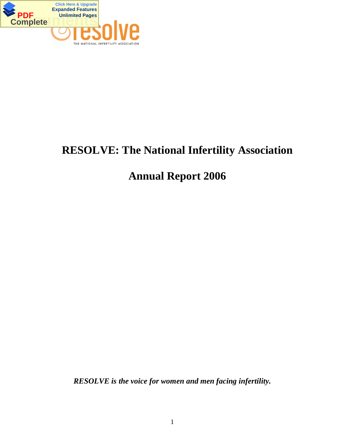

# **RESOLVE: The National Infertility Association**

# **Annual Report 2006**

*RESOLVE is the voice for women and men facing infertility.*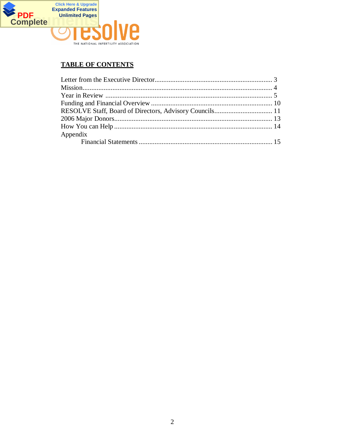

# **TABLE OF CONTENTS**

| Appendix |  |
|----------|--|
|          |  |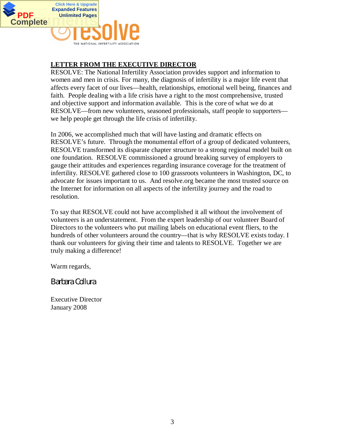

# **LETTER FROM THE EXECUTIVE DIRECTOR**

RESOLVE: The National Infertility Association provides support and information to women and men in crisis. For many, the diagnosis of infertility is a major life event that affects every facet of our lives—health, relationships, emotional well being, finances and faith. People dealing with a life crisis have a right to the most comprehensive, trusted and objective support and information available. This is the core of what we do at RESOLVE—from new volunteers, seasoned professionals, staff people to supporters we help people get through the life crisis of infertility.

In 2006, we accomplished much that will have lasting and dramatic effects on RESOLVE's future. Through the monumental effort of a group of dedicated volunteers, RESOLVE transformed its disparate chapter structure to a strong regional model built on one foundation. RESOLVE commissioned a ground breaking survey of employers to gauge their attitudes and experiences regarding insurance coverage for the treatment of infertility. RESOLVE gathered close to 100 grassroots volunteers in Washington, DC, to advocate for issues important to us. And resolve.org became the most trusted source on the Internet for information on all aspects of the infertility journey and the road to resolution.

To say that RESOLVE could not have accomplished it all without the involvement of volunteers is an understatement. From the expert leadership of our volunteer Board of Directors to the volunteers who put mailing labels on educational event fliers, to the hundreds of other volunteers around the country—that is why RESOLVE exists today. I thank our volunteers for giving their time and talents to RESOLVE. Together we are truly making a difference!

Warm regards,

*Barbara Collura*

Executive Director January 2008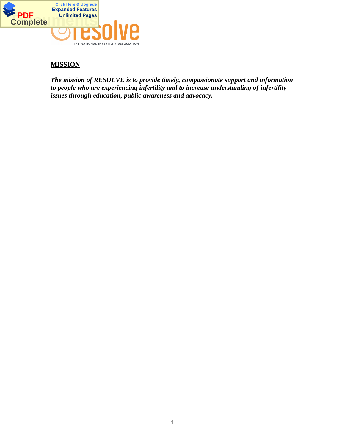

## **MISSION**

*The mission of RESOLVE is to provide timely, compassionate support and information to people who are experiencing infertility and to increase understanding of infertility issues through education, public awareness and advocacy.*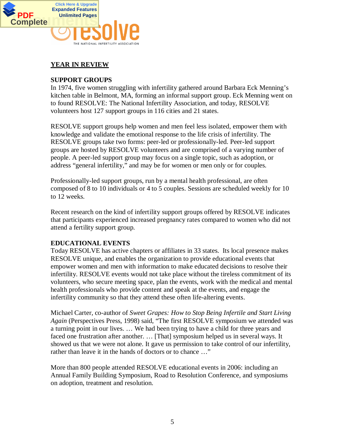

# **YEAR IN REVIEW**

## **SUPPORT GROUPS**

In 1974, five women struggling with infertility gathered around Barbara Eck Menning's kitchen table in Belmont, MA, forming an informal support group. Eck Menning went on to found RESOLVE: The National Infertility Association, and today, RESOLVE volunteers host 127 support groups in 116 cities and 21 states.

RESOLVE support groups help women and men feel less isolated, empower them with knowledge and validate the emotional response to the life crisis of infertility. The RESOLVE groups take two forms: peer-led or professionally-led. Peer-led support groups are hosted by RESOLVE volunteers and are comprised of a varying number of people. A peer-led support group may focus on a single topic, such as adoption, or address "general infertility," and may be for women or men only or for couples.

Professionally-led support groups, run by a mental health professional, are often composed of 8 to 10 individuals or 4 to 5 couples. Sessions are scheduled weekly for 10 to 12 weeks.

Recent research on the kind of infertility support groups offered by RESOLVE indicates that participants experienced increased pregnancy rates compared to women who did not attend a fertility support group.

## **EDUCATIONAL EVENTS**

Today RESOLVE has active chapters or affiliates in 33 states. Its local presence makes RESOLVE unique, and enables the organization to provide educational events that empower women and men with information to make educated decisions to resolve their infertility. RESOLVE events would not take place without the tireless commitment of its volunteers, who secure meeting space, plan the events, work with the medical and mental health professionals who provide content and speak at the events, and engage the infertility community so that they attend these often life-altering events.

Michael Carter, co-author of *Sweet Grapes: How to Stop Being Infertile and Start Living Again* (Perspectives Press, 1998) said, "The first RESOLVE symposium we attended was a turning point in our lives. … We had been trying to have a child for three years and faced one frustration after another. … [That] symposium helped us in several ways. It showed us that we were not alone. It gave us permission to take control of our infertility, rather than leave it in the hands of doctors or to chance …"

More than 800 people attended RESOLVE educational events in 2006: including an Annual Family Building Symposium, Road to Resolution Conference, and symposiums on adoption, treatment and resolution.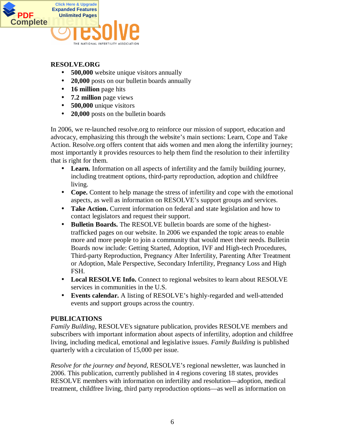

## **RESOLVE.ORG**

- **500,000** website unique visitors annually
- **20,000** posts on our bulletin boards annually
- **16 million** page hits
- **7.2 million** page views
- **500,000** unique visitors
- **20,000** posts on the bulletin boards

In 2006, we re-launched resolve.org to reinforce our mission of support, education and advocacy, emphasizing this through the website's main sections: Learn, Cope and Take Action. Resolve.org offers content that aids women and men along the infertility journey; most importantly it provides resources to help them find the resolution to their infertility that is right for them.

- Learn. Information on all aspects of infertility and the family building journey, including treatment options, third-party reproduction, adoption and childfree living.
- **Cope.** Content to help manage the stress of infertility and cope with the emotional aspects, as well as information on RESOLVE's support groups and services.
- **Take Action.** Current information on federal and state legislation and how to contact legislators and request their support.
- **Bulletin Boards.** The RESOLVE bulletin boards are some of the highesttrafficked pages on our website. In 2006 we expanded the topic areas to enable more and more people to join a community that would meet their needs. Bulletin Boards now include: Getting Started, Adoption, IVF and High-tech Procedures, Third-party Reproduction, Pregnancy After Infertility, Parenting After Treatment or Adoption, Male Perspective, Secondary Infertility, Pregnancy Loss and High FSH.
- Local RESOLVE Info. Connect to regional websites to learn about RESOLVE services in communities in the U.S.
- **Events calendar.** A listing of RESOLVE's highly-regarded and well-attended events and support groups across the country.

## **PUBLICATIONS**

*Family Building*, RESOLVE's signature publication, provides RESOLVE members and subscribers with important information about aspects of infertility, adoption and childfree living, including medical, emotional and legislative issues. *Family Building* is published quarterly with a circulation of 15,000 per issue.

*Resolve for the journey and beyond*, RESOLVE's regional newsletter, was launched in 2006. This publication, currently published in 4 regions covering 18 states, provides RESOLVE members with information on infertility and resolution—adoption, medical treatment, childfree living, third party reproduction options—as well as information on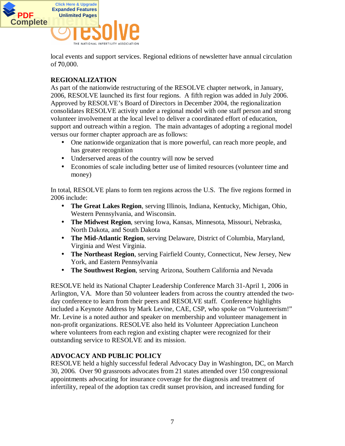

local events and support services. Regional editions of newsletter have annual circulation of **7**0,000.

# **REGIONALIZATION**

As part of the nationwide restructuring of the RESOLVE chapter network, in January, 2006, RESOLVE launched its first four regions. A fifth region was added in July 2006. Approved by RESOLVE's Board of Directors in December 2004, the regionalization consolidates RESOLVE activity under a regional model with one staff person and strong volunteer involvement at the local level to deliver a coordinated effort of education, support and outreach within a region. The main advantages of adopting a regional model versus our former chapter approach are as follows:

- One nationwide organization that is more powerful, can reach more people, and has greater recognition
- Underserved areas of the country will now be served
- Economies of scale including better use of limited resources (volunteer time and money)

In total, RESOLVE plans to form ten regions across the U.S. The five regions formed in 2006 include:

- **The Great Lakes Region**, serving Illinois, Indiana, Kentucky, Michigan, Ohio, Western Pennsylvania, and Wisconsin.
- **The Midwest Region**, serving Iowa, Kansas, Minnesota, Missouri, Nebraska, North Dakota, and South Dakota
- **The Mid-Atlantic Region**, serving Delaware, District of Columbia, Maryland, Virginia and West Virginia.
- **The Northeast Region**, serving Fairfield County, Connecticut, New Jersey, New York, and Eastern Pennsylvania
- **The Southwest Region**, serving Arizona, Southern California and Nevada

RESOLVE held its National Chapter Leadership Conference March 31-April 1, 2006 in Arlington, VA. More than 50 volunteer leaders from across the country attended the twoday conference to learn from their peers and RESOLVE staff. Conference highlights included a Keynote Address by Mark Levine, CAE, CSP, who spoke on "Volunteerism!" Mr. Levine is a noted author and speaker on membership and volunteer management in non-profit organizations. RESOLVE also held its Volunteer Appreciation Luncheon where volunteers from each region and existing chapter were recognized for their outstanding service to RESOLVE and its mission.

## **ADVOCACY AND PUBLIC POLICY**

RESOLVE held a highly successful federal Advocacy Day in Washington, DC, on March 30, 2006. Over 90 grassroots advocates from 21 states attended over 150 congressional appointments advocating for insurance coverage for the diagnosis and treatment of infertility, repeal of the adoption tax credit sunset provision, and increased funding for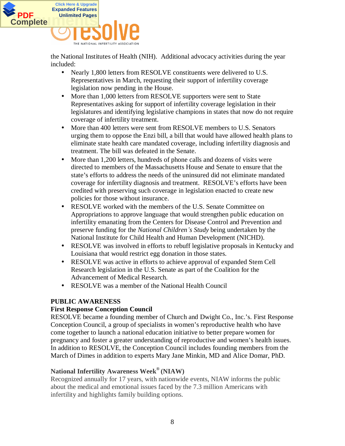

the National Institutes of Health (NIH). Additional advocacy activities during the year included:

- Nearly 1,800 letters from RESOLVE constituents were delivered to U.S. Representatives in March, requesting their support of infertility coverage legislation now pending in the House.
- More than 1,000 letters from RESOLVE supporters were sent to State Representatives asking for support of infertility coverage legislation in their legislatures and identifying legislative champions in states that now do not require coverage of infertility treatment.
- More than 400 letters were sent from RESOLVE members to U.S. Senators urging them to oppose the Enzi bill, a bill that would have allowed health plans to eliminate state health care mandated coverage, including infertility diagnosis and treatment. The bill was defeated in the Senate.
- More than 1,200 letters, hundreds of phone calls and dozens of visits were directed to members of the Massachusetts House and Senate to ensure that the state's efforts to address the needs of the uninsured did not eliminate mandated coverage for infertility diagnosis and treatment. RESOLVE's efforts have been credited with preserving such coverage in legislation enacted to create new policies for those without insurance.
- RESOLVE worked with the members of the U.S. Senate Committee on Appropriations to approve language that would strengthen public education on infertility emanating from the Centers for Disease Control and Prevention and preserve funding for the *National Children¶s Study* being undertaken by the National Institute for Child Health and Human Development (NICHD).
- RESOLVE was involved in efforts to rebuff legislative proposals in Kentucky and Louisiana that would restrict egg donation in those states.
- RESOLVE was active in efforts to achieve approval of expanded Stem Cell Research legislation in the U.S. Senate as part of the Coalition for the Advancement of Medical Research.
- RESOLVE was a member of the National Health Council

## **PUBLIC AWARENESS**

## **First Response Conception Council**

RESOLVE became a founding member of Church and Dwight Co., Inc.'s. First Response Conception Council, a group of specialists in women's reproductive health who have come together to launch a national education initiative to better prepare women for pregnancy and foster a greater understanding of reproductive and women's health issues. In addition to RESOLVE, the Conception Council includes founding members from the March of Dimes in addition to experts Mary Jane Minkin, MD and Alice Domar, PhD.

## **National Infertility Awareness Week® (NIAW)**

Recognized annually for 17 years, with nationwide events, NIAW informs the public about the medical and emotional issues faced by the 7.3 million Americans with infertility and highlights family building options.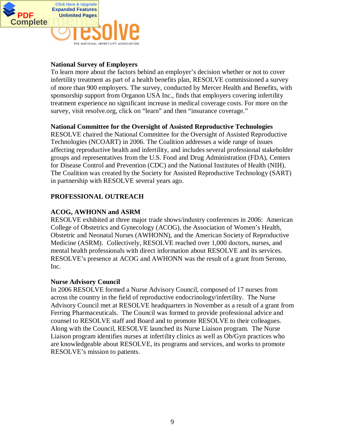

## **National Survey of Employers**

To learn more about the factors behind an employer's decision whether or not to cover infertility treatment as part of a health benefits plan, RESOLVE commissioned a survey of more than 900 employers. The survey, conducted by Mercer Health and Benefits, with sponsorship support from Organon USA Inc., finds that employers covering infertility treatment experience no significant increase in medical coverage costs. For more on the survey, visit resolve.org, click on "learn" and then "insurance coverage."

#### **National Committee for the Oversight of Assisted Reproductive Technologies**

RESOLVE chaired the National Committee for the Oversight of Assisted Reproductive Technologies (NCOART) in 2006. The Coalition addresses a wide range of issues affecting reproductive health and infertility, and includes several professional stakeholder groups and representatives from the U.S. Food and Drug Administration (FDA), Centers for Disease Control and Prevention (CDC) and the National Institutes of Health (NIH). The Coalition was created by the Society for Assisted Reproductive Technology (SART) in partnership with RESOLVE several years ago.

## **PROFESSIONAL OUTREACH**

## **ACOG, AWHONN and ASRM**

RESOLVE exhibited at three major trade shows/industry conferences in 2006: American College of Obstetrics and Gynecology (ACOG), the Association of Women's Health, Obstetric and Neonatal Nurses (AWHONN), and the American Society of Reproductive Medicine (ASRM). Collectively, RESOLVE reached over 1,000 doctors, nurses, and mental health professionals with direct information about RESOLVE and its services. RESOLVE's presence at ACOG and AWHONN was the result of a grant from Serono, Inc.

#### **Nurse Advisory Council**

In 2006 RESOLVE formed a Nurse Advisory Council, composed of 17 nurses from across the country in the field of reproductive endocrinology/infertility. The Nurse Advisory Council met at RESOLVE headquarters in November as a result of a grant from Ferring Pharmaceuticals. The Council was formed to provide professional advice and counsel to RESOLVE staff and Board and to promote RESOLVE to their colleagues. Along with the Council, RESOLVE launched its Nurse Liaison program. The Nurse Liaison program identifies nurses at infertility clinics as well as Ob/Gyn practices who are knowledgeable about RESOLVE, its programs and services, and works to promote RESOLVE's mission to patients.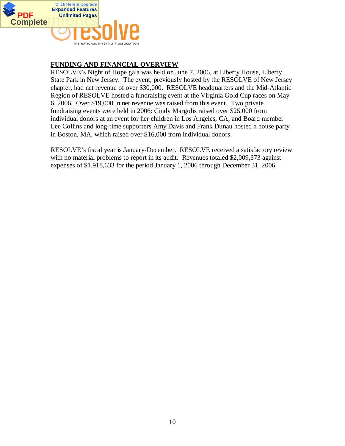

# **FUNDING AND FINANCIAL OVERVIEW**

RESOLVE's Night of Hope gala was held on June 7, 2006, at Liberty House, Liberty State Park in New Jersey. The event, previously hosted by the RESOLVE of New Jersey chapter, had net revenue of over \$30,000. RESOLVE headquarters and the Mid-Atlantic Region of RESOLVE hosted a fundraising event at the Virginia Gold Cup races on May 6, 2006. Over \$19,000 in net revenue was raised from this event. Two private fundraising events were held in 2006: Cindy Margolis raised over \$25,000 from individual donors at an event for her children in Los Angeles, CA; and Board member Lee Collins and long-time supporters Amy Davis and Frank Dunau hosted a house party in Boston, MA, which raised over \$16,000 from individual donors.

RESOLVE's fiscal year is January-December. RESOLVE received a satisfactory review with no material problems to report in its audit. Revenues totaled \$2,009,373 against expenses of \$1,918,633 for the period January 1, 2006 through December 31, 2006.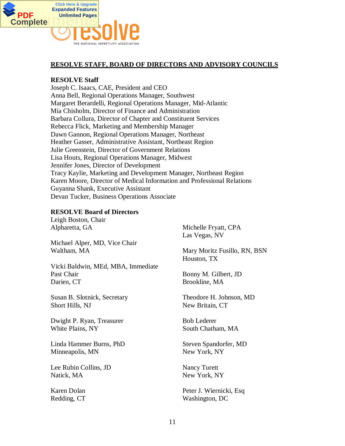

#### **RESOLVE STAFF, BOARD OF DIRECTORS AND ADVISORY COUNCILS**

#### **RESOLVE Staff**

Joseph C. Isaacs, CAE, President and CEO Anna Bell, Regional Operations Manager, Southwest Margaret Berardelli, Regional Operations Manager, Mid-Atlantic Mia Chisholm, Director of Finance and Administration Barbara Collura, Director of Chapter and Constituent Services Rebecca Flick, Marketing and Membership Manager Dawn Gannon, Regional Operations Manager, Northeast Heather Gasser, Administrative Assistant, Northeast Region Julie Greenstein, Director of Government Relations Lisa Houts, Regional Operations Manager, Midwest Jennifer Jones, Director of Development Tracy Kaylie, Marketing and Development Manager, Northeast Region Karen Moore, Director of Medical Information and Professional Relations Guyanna Shank, Executive Assistant Devan Tucker, Business Operations Associate

#### **RESOLVE Board of Directors**

Leigh Boston, Chair Alpharetta, GA

Michael Alper, MD, Vice Chair Waltham, MA

Vicki Baldwin, MEd, MBA, Immediate Past Chair Darien, CT

Susan B. Slotnick, Secretary Short Hills, NJ

Dwight P. Ryan, Treasurer White Plains, NY

Linda Hammer Burns, PhD Minneapolis, MN

Lee Rubin Collins, JD Natick, MA

Karen Dolan Redding, CT

Michelle Fryatt, CPA Las Vegas, NV

Mary Moritz Fusillo, RN, BSN Houston, TX

Bonny M. Gilbert, JD Brookline, MA

Theodore H. Johnson, MD New Britain, CT

Bob Lederer South Chatham, MA

Steven Spandorfer, MD New York, NY

Nancy Turett New York, NY

Peter J. Wiernicki, Esq Washington, DC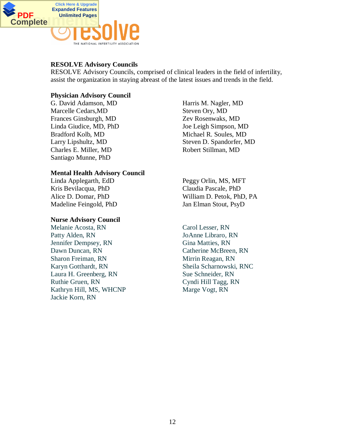

## **RESOLVE Advisory Councils**

RESOLVE Advisory Councils, comprised of clinical leaders in the field of infertility, assist the organization in staying abreast of the latest issues and trends in the field.

#### **Physician Advisory Council**

G. David Adamson, MD Marcelle Cedars,MD Frances Ginsburgh, MD Linda Giudice, MD, PhD Bradford Kolb, MD Larry Lipshultz, MD Charles E. Miller, MD Santiago Munne, PhD

#### **Mental Health Advisory Council**

Linda Applegarth, EdD Kris Bevilacqua, PhD Alice D. Domar, PhD Madeline Feingold, PhD

#### **Nurse Advisory Council**

Melanie Acosta, RN Patty Alden, RN Jennifer Dempsey, RN Dawn Duncan, RN Sharon Freiman, RN Karyn Gotthardt, RN Laura H. Greenberg, RN Ruthie Gruen, RN Kathryn Hill, MS, WHCNP Jackie Korn, RN

Harris M. Nagler, MD Steven Ory, MD Zev Rosenwaks, MD Joe Leigh Simpson, MD Michael R. Soules, MD Steven D. Spandorfer, MD Robert Stillman, MD

Peggy Orlin, MS, MFT Claudia Pascale, PhD William D. Petok, PhD, PA Jan Elman Stout, PsyD

Carol Lesser, RN JoAnne Libraro, RN Gina Matties, RN Catherine McBreen, RN Mirrin Reagan, RN Sheila Scharnowski, RNC Sue Schneider, RN Cyndi Hill Tagg, RN Marge Vogt, RN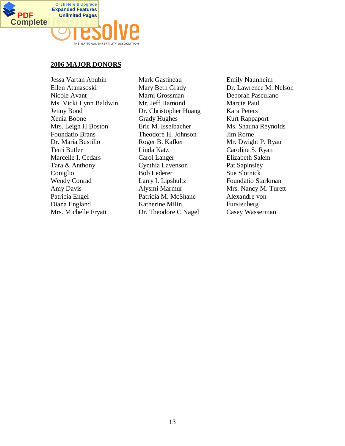

#### **2006 MAJOR DONORS**

Jessa Vartan Abubin Ellen Atanasoski Nicole Avant Ms. Vicki Lynn Baldwin Jenny Bond Xenia Boone Mrs. Leigh H Boston Foundatio Brans Dr. Maria Bustillo Terri Butler Marcelle I. Cedars Tara & Anthony Coniglio Wendy Conrad Amy Davis Patricia Engel Diana England Mrs. Michelle Fryatt

Mark Gastineau Mary Beth Grady Marni Grossman Mr. Jeff Hamond Dr. Christopher Huang Grady Hughes Eric M. Isselbacher Theodore H. Johnson Roger B. Kafker Linda Katz Carol Langer Cynthia Lavenson Bob Lederer Larry I. Lipshultz Alysmi Marmur Patricia M. McShane Katherine Milin Dr. Theodore C Nagel

Emily Naunheim Dr. Lawrence M. Nelson Deborah Pasculano Marcie Paul Kara Peters Kurt Rappaport Ms. Shauna Reynolds Jim Rome Mr. Dwight P. Ryan Caroline S. Ryan Elizabeth Salem Pat Sapinsley Sue Slotnick Foundatio Starkman Mrs. Nancy M. Turett Alexandre von Furstenberg Casey Wasserman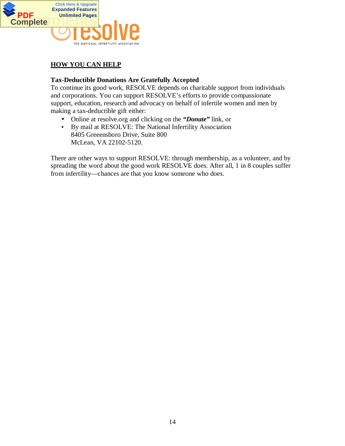

# **HOW YOU CAN HELP**

#### **Tax-Deductible Donations Are Gratefully Accepted**

To continue its good work, RESOLVE depends on charitable support from individuals and corporations. You can support RESOLVE's efforts to provide compassionate support, education, research and advocacy on behalf of infertile women and men by making a tax-deductible gift either:

- Online at resolve.org and clicking on the *"Donate"* link, or
- By mail at RESOLVE: The National Infertility Association 8405 Greeensboro Drive, Suite 800 McLean, VA 22102-5120.

There are other ways to support RESOLVE: through membership, as a volunteer, and by spreading the word about the good work RESOLVE does. After all, 1 in 8 couples suffer from infertility—chances are that you know someone who does.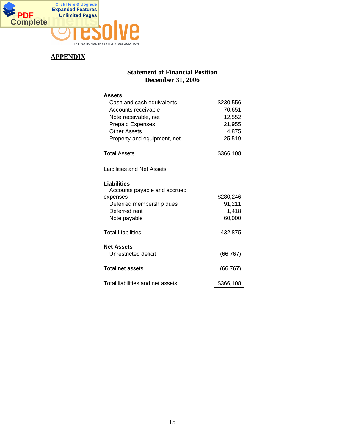

# **APPENDIX**

# **Statement of Financial Position December 31, 2006**

| Assets<br>Cash and cash equivalents<br>Accounts receivable<br>Note receivable, net<br><b>Prepaid Expenses</b><br>Other Assets<br>Property and equipment, net | \$230,556<br>70,651<br>12,552<br>21,955<br>4,875<br>25,519 |
|--------------------------------------------------------------------------------------------------------------------------------------------------------------|------------------------------------------------------------|
| <b>Total Assets</b>                                                                                                                                          | \$366,108                                                  |
| Liabilities and Net Assets<br>Liabilities                                                                                                                    |                                                            |
| Accounts payable and accrued<br>expenses                                                                                                                     | \$280,246                                                  |
| Deferred membership dues                                                                                                                                     | 91,211                                                     |
| Deferred rent<br>Note payable                                                                                                                                | 1,418<br>60,000                                            |
|                                                                                                                                                              |                                                            |
| <b>Total Liabilities</b>                                                                                                                                     | 432,875                                                    |
| <b>Net Assets</b><br>Unrestricted deficit                                                                                                                    | (66, 767)                                                  |
| Total net assets                                                                                                                                             | (66, 767)                                                  |
| Total liabilities and net assets                                                                                                                             | \$366,108                                                  |